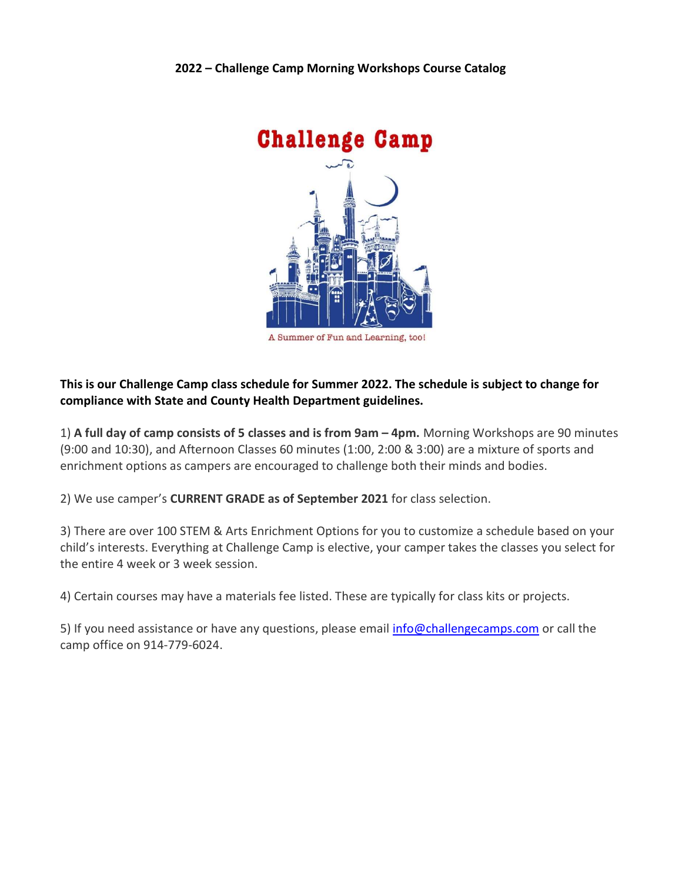

## This is our Challenge Camp class schedule for Summer 2022. The schedule is subject to change for compliance with State and County Health Department guidelines.

1) A full day of camp consists of 5 classes and is from 9am – 4pm. Morning Workshops are 90 minutes (9:00 and 10:30), and Afternoon Classes 60 minutes (1:00, 2:00 & 3:00) are a mixture of sports and enrichment options as campers are encouraged to challenge both their minds and bodies.

2) We use camper's CURRENT GRADE as of September 2021 for class selection.

3) There are over 100 STEM & Arts Enrichment Options for you to customize a schedule based on your child's interests. Everything at Challenge Camp is elective, your camper takes the classes you select for the entire 4 week or 3 week session.

4) Certain courses may have a materials fee listed. These are typically for class kits or projects.

5) If you need assistance or have any questions, please email info@challengecamps.com or call the camp office on 914-779-6024.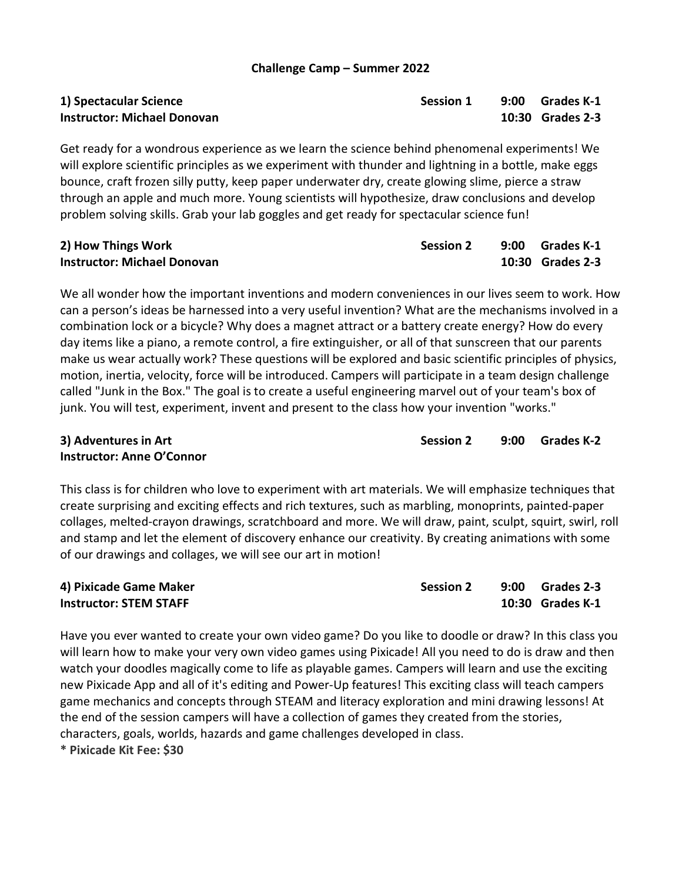# Instructor: Michael Donovan 10:30 Grades 2-3

Get ready for a wondrous experience as we learn the science behind phenomenal experiments! We will explore scientific principles as we experiment with thunder and lightning in a bottle, make eggs bounce, craft frozen silly putty, keep paper underwater dry, create glowing slime, pierce a straw through an apple and much more. Young scientists will hypothesize, draw conclusions and develop problem solving skills. Grab your lab goggles and get ready for spectacular science fun!

| 2) How Things Work                 | <b>Session 2</b> | 9:00 Grades K-1  |
|------------------------------------|------------------|------------------|
| <b>Instructor: Michael Donovan</b> |                  | 10:30 Grades 2-3 |

We all wonder how the important inventions and modern conveniences in our lives seem to work. How can a person's ideas be harnessed into a very useful invention? What are the mechanisms involved in a combination lock or a bicycle? Why does a magnet attract or a battery create energy? How do every day items like a piano, a remote control, a fire extinguisher, or all of that sunscreen that our parents make us wear actually work? These questions will be explored and basic scientific principles of physics, motion, inertia, velocity, force will be introduced. Campers will participate in a team design challenge called "Junk in the Box." The goal is to create a useful engineering marvel out of your team's box of junk. You will test, experiment, invent and present to the class how your invention "works."

# Instructor: Anne O'Connor

This class is for children who love to experiment with art materials. We will emphasize techniques that create surprising and exciting effects and rich textures, such as marbling, monoprints, painted-paper collages, melted-crayon drawings, scratchboard and more. We will draw, paint, sculpt, squirt, swirl, roll and stamp and let the element of discovery enhance our creativity. By creating animations with some of our drawings and collages, we will see our art in motion!

| 4) Pixicade Game Maker        | <b>Session 2</b> | 9:00 Grades 2-3  |
|-------------------------------|------------------|------------------|
| <b>Instructor: STEM STAFF</b> |                  | 10:30 Grades K-1 |

Have you ever wanted to create your own video game? Do you like to doodle or draw? In this class you will learn how to make your very own video games using Pixicade! All you need to do is draw and then watch your doodles magically come to life as playable games. Campers will learn and use the exciting new Pixicade App and all of it's editing and Power-Up features! This exciting class will teach campers game mechanics and concepts through STEAM and literacy exploration and mini drawing lessons! At the end of the session campers will have a collection of games they created from the stories, characters, goals, worlds, hazards and game challenges developed in class. \* Pixicade Kit Fee: \$30

1) Spectacular Science **Session 1** and Session 1 and Session 1 and 9:00 Grades K-1

3) Adventures in Art Session 2 9:00 Grades K-2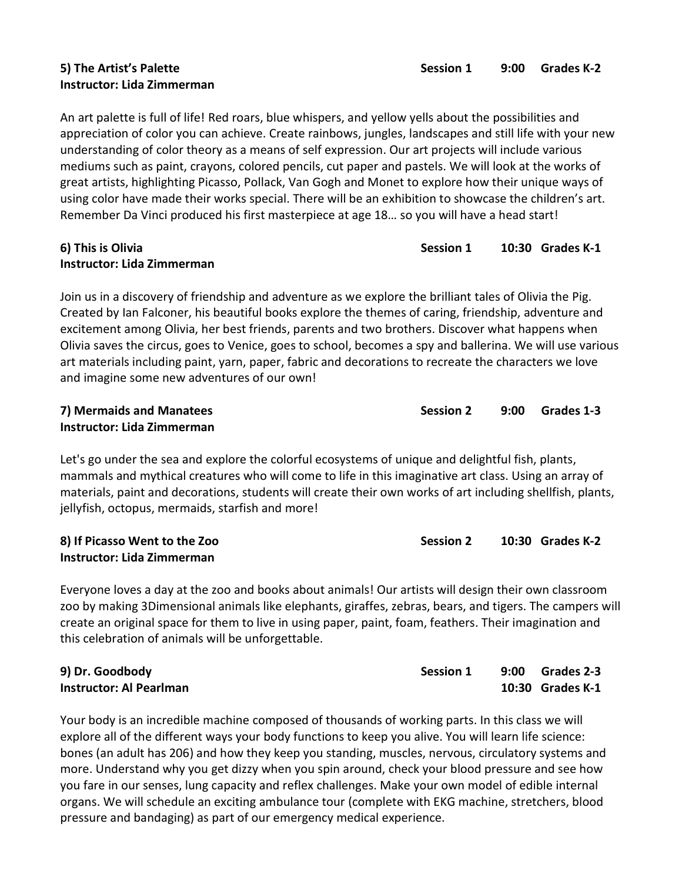# Instructor: Lida Zimmerman

Session  $2$  10:30 Grades K-2

An art palette is full of life! Red roars, blue whispers, and yellow yells about the possibilities and appreciation of color you can achieve. Create rainbows, jungles, landscapes and still life with your new understanding of color theory as a means of self expression. Our art projects will include various mediums such as paint, crayons, colored pencils, cut paper and pastels. We will look at the works of great artists, highlighting Picasso, Pollack, Van Gogh and Monet to explore how their unique ways of using color have made their works special. There will be an exhibition to showcase the children's art. Remember Da Vinci produced his first masterpiece at age 18… so you will have a head start!

#### 6) This is Olivia Session 1 20:30 Grades K-1 Instructor: Lida Zimmerman

Join us in a discovery of friendship and adventure as we explore the brilliant tales of Olivia the Pig. Created by Ian Falconer, his beautiful books explore the themes of caring, friendship, adventure and excitement among Olivia, her best friends, parents and two brothers. Discover what happens when Olivia saves the circus, goes to Venice, goes to school, becomes a spy and ballerina. We will use various art materials including paint, yarn, paper, fabric and decorations to recreate the characters we love and imagine some new adventures of our own!

| 7) Mermaids and Manatees   | <b>Session 2</b> | 9:00 Grades 1-3 |
|----------------------------|------------------|-----------------|
| Instructor: Lida Zimmerman |                  |                 |

Let's go under the sea and explore the colorful ecosystems of unique and delightful fish, plants, mammals and mythical creatures who will come to life in this imaginative art class. Using an array of materials, paint and decorations, students will create their own works of art including shellfish, plants, jellyfish, octopus, mermaids, starfish and more!

| 8) If Picasso Went to the Zoo     |  |
|-----------------------------------|--|
| <b>Instructor: Lida Zimmerman</b> |  |

Everyone loves a day at the zoo and books about animals! Our artists will design their own classroom zoo by making 3Dimensional animals like elephants, giraffes, zebras, bears, and tigers. The campers will create an original space for them to live in using paper, paint, foam, feathers. Their imagination and this celebration of animals will be unforgettable.

| 9) Dr. Goodbody                | <b>Session 1</b> | 9:00 Grades 2-3  |
|--------------------------------|------------------|------------------|
| <b>Instructor: Al Pearlman</b> |                  | 10:30 Grades K-1 |

Your body is an incredible machine composed of thousands of working parts. In this class we will explore all of the different ways your body functions to keep you alive. You will learn life science: bones (an adult has 206) and how they keep you standing, muscles, nervous, circulatory systems and more. Understand why you get dizzy when you spin around, check your blood pressure and see how you fare in our senses, lung capacity and reflex challenges. Make your own model of edible internal organs. We will schedule an exciting ambulance tour (complete with EKG machine, stretchers, blood pressure and bandaging) as part of our emergency medical experience.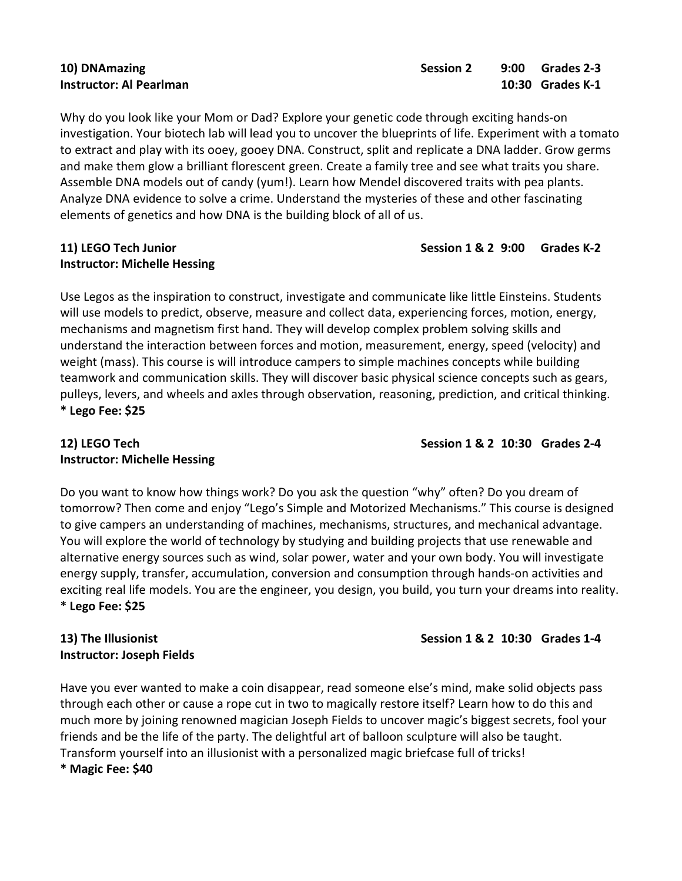#### 10) DNAmazing Session 2 9:00 Grades 2-3 Instructor: Al Pearlman 10:30 Grades K-1

Why do you look like your Mom or Dad? Explore your genetic code through exciting hands-on investigation. Your biotech lab will lead you to uncover the blueprints of life. Experiment with a tomato to extract and play with its ooey, gooey DNA. Construct, split and replicate a DNA ladder. Grow germs and make them glow a brilliant florescent green. Create a family tree and see what traits you share. Assemble DNA models out of candy (yum!). Learn how Mendel discovered traits with pea plants. Analyze DNA evidence to solve a crime. Understand the mysteries of these and other fascinating elements of genetics and how DNA is the building block of all of us.

# Instructor: Michelle Hessing

Use Legos as the inspiration to construct, investigate and communicate like little Einsteins. Students will use models to predict, observe, measure and collect data, experiencing forces, motion, energy, mechanisms and magnetism first hand. They will develop complex problem solving skills and understand the interaction between forces and motion, measurement, energy, speed (velocity) and weight (mass). This course is will introduce campers to simple machines concepts while building teamwork and communication skills. They will discover basic physical science concepts such as gears, pulleys, levers, and wheels and axles through observation, reasoning, prediction, and critical thinking. \* Lego Fee: \$25

# 12) LEGO Tech Session 1 & 2 10:30 Grades 2-4 Instructor: Michelle Hessing

Do you want to know how things work? Do you ask the question "why" often? Do you dream of tomorrow? Then come and enjoy "Lego's Simple and Motorized Mechanisms." This course is designed to give campers an understanding of machines, mechanisms, structures, and mechanical advantage. You will explore the world of technology by studying and building projects that use renewable and alternative energy sources such as wind, solar power, water and your own body. You will investigate energy supply, transfer, accumulation, conversion and consumption through hands-on activities and exciting real life models. You are the engineer, you design, you build, you turn your dreams into reality. \* Lego Fee: \$25

# 13) The Illusionist Christian Session 1 & 2 10:30 Grades 1-4 Instructor: Joseph Fields

Have you ever wanted to make a coin disappear, read someone else's mind, make solid objects pass through each other or cause a rope cut in two to magically restore itself? Learn how to do this and much more by joining renowned magician Joseph Fields to uncover magic's biggest secrets, fool your friends and be the life of the party. The delightful art of balloon sculpture will also be taught. Transform yourself into an illusionist with a personalized magic briefcase full of tricks! \* Magic Fee: \$40

#### 11) LEGO Tech Junior **Session 1 & 2 9:00 Grades K-2** 6 and Session 1 & 2 9:00 Grades K-2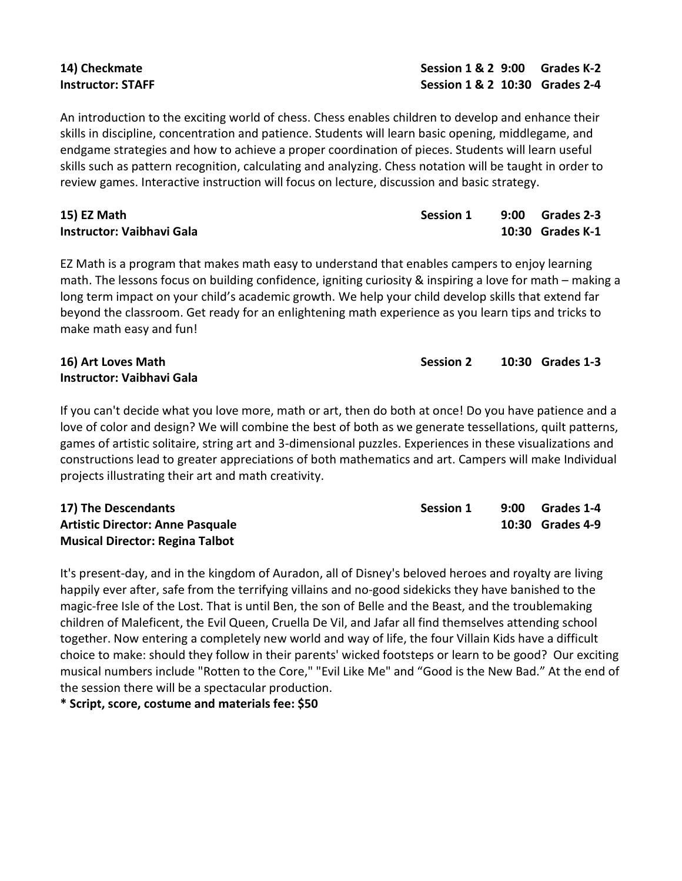An introduction to the exciting world of chess. Chess enables children to develop and enhance their skills in discipline, concentration and patience. Students will learn basic opening, middlegame, and endgame strategies and how to achieve a proper coordination of pieces. Students will learn useful skills such as pattern recognition, calculating and analyzing. Chess notation will be taught in order to review games. Interactive instruction will focus on lecture, discussion and basic strategy.

| 15) EZ Math                      | <b>Session 1</b> | 9:00 Grades 2-3  |
|----------------------------------|------------------|------------------|
| <b>Instructor: Vaibhavi Gala</b> |                  | 10:30 Grades K-1 |

EZ Math is a program that makes math easy to understand that enables campers to enjoy learning math. The lessons focus on building confidence, igniting curiosity & inspiring a love for math – making a long term impact on your child's academic growth. We help your child develop skills that extend far beyond the classroom. Get ready for an enlightening math experience as you learn tips and tricks to make math easy and fun!

# Instructor: Vaibhavi Gala

If you can't decide what you love more, math or art, then do both at once! Do you have patience and a love of color and design? We will combine the best of both as we generate tessellations, quilt patterns, games of artistic solitaire, string art and 3-dimensional puzzles. Experiences in these visualizations and constructions lead to greater appreciations of both mathematics and art. Campers will make Individual projects illustrating their art and math creativity.

| 17) The Descendants                     | <b>Session 1</b> | 9:00 | Grades 1-4       |
|-----------------------------------------|------------------|------|------------------|
| <b>Artistic Director: Anne Pasquale</b> |                  |      | 10:30 Grades 4-9 |
| <b>Musical Director: Regina Talbot</b>  |                  |      |                  |

It's present-day, and in the kingdom of Auradon, all of Disney's beloved heroes and royalty are living happily ever after, safe from the terrifying villains and no-good sidekicks they have banished to the magic-free Isle of the Lost. That is until Ben, the son of Belle and the Beast, and the troublemaking children of Maleficent, the Evil Queen, Cruella De Vil, and Jafar all find themselves attending school together. Now entering a completely new world and way of life, the four Villain Kids have a difficult choice to make: should they follow in their parents' wicked footsteps or learn to be good? Our exciting musical numbers include "Rotten to the Core," "Evil Like Me" and "Good is the New Bad." At the end of the session there will be a spectacular production.

\* Script, score, costume and materials fee: \$50

14) Checkmate Session 1 & 2 9:00 Grades K-2 Instructor: STAFF Session 1 & 2 10:30 Grades 2-4

16) Art Loves Math Session 2 10:30 Grades 1-3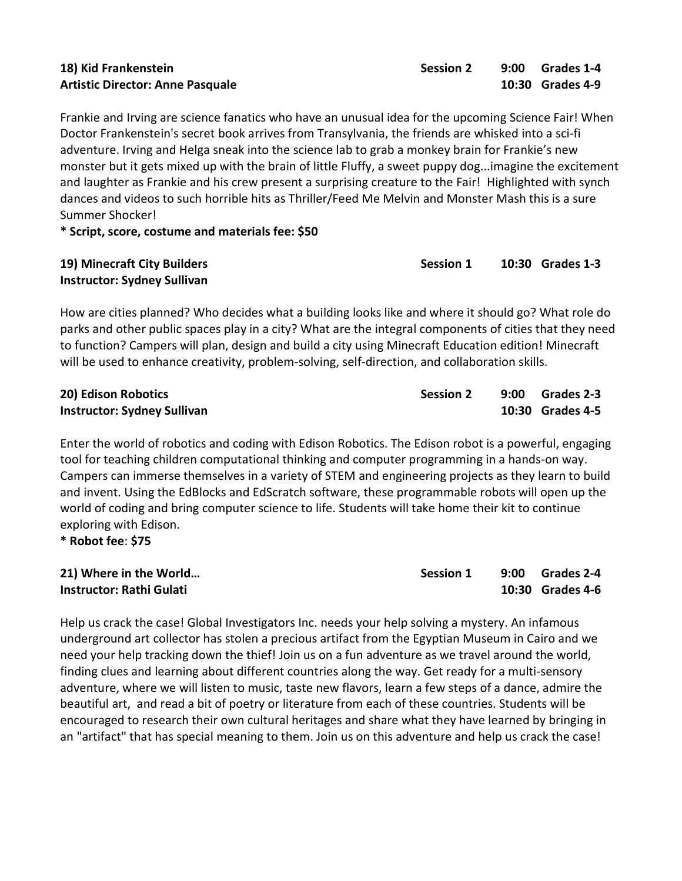# Artistic Director: Anne Pasquale 10:30 Grades 4-9

Frankie and Irving are science fanatics who have an unusual idea for the upcoming Science Fair! When Doctor Frankenstein's secret book arrives from Transylvania, the friends are whisked into a sci-fi adventure. Irving and Helga sneak into the science lab to grab a monkey brain for Frankie's new monster but it gets mixed up with the brain of little Fluffy, a sweet puppy dog...imagine the excitement and laughter as Frankie and his crew present a surprising creature to the Fair! Highlighted with synch dances and videos to such horrible hits as Thriller/Feed Me Melvin and Monster Mash this is a sure Summer Shocker!

\* Script, score, costume and materials fee: \$50

| 19) Minecraft City Builders        | <b>Session 1</b> | 10:30 Grades 1-3 |
|------------------------------------|------------------|------------------|
| <b>Instructor: Sydney Sullivan</b> |                  |                  |

How are cities planned? Who decides what a building looks like and where it should go? What role do parks and other public spaces play in a city? What are the integral components of cities that they need to function? Campers will plan, design and build a city using Minecraft Education edition! Minecraft will be used to enhance creativity, problem-solving, self-direction, and collaboration skills.

| 20) Edison Robotics                | <b>Session 2</b> | 9:00 Grades 2-3  |
|------------------------------------|------------------|------------------|
| <b>Instructor: Sydney Sullivan</b> |                  | 10:30 Grades 4-5 |

Enter the world of robotics and coding with Edison Robotics. The Edison robot is a powerful, engaging tool for teaching children computational thinking and computer programming in a hands-on way. Campers can immerse themselves in a variety of STEM and engineering projects as they learn to build and invent. Using the EdBlocks and EdScratch software, these programmable robots will open up the world of coding and bring computer science to life. Students will take home their kit to continue exploring with Edison.

\* Robot fee: \$75

| 21) Where in the World   | Session 1 | $9:00$ Grades 2-4 |
|--------------------------|-----------|-------------------|
| Instructor: Rathi Gulati |           | 10:30 Grades 4-6  |

Help us crack the case! Global Investigators Inc. needs your help solving a mystery. An infamous underground art collector has stolen a precious artifact from the Egyptian Museum in Cairo and we need your help tracking down the thief! Join us on a fun adventure as we travel around the world, finding clues and learning about different countries along the way. Get ready for a multi-sensory adventure, where we will listen to music, taste new flavors, learn a few steps of a dance, admire the beautiful art, and read a bit of poetry or literature from each of these countries. Students will be encouraged to research their own cultural heritages and share what they have learned by bringing in an "artifact" that has special meaning to them. Join us on this adventure and help us crack the case!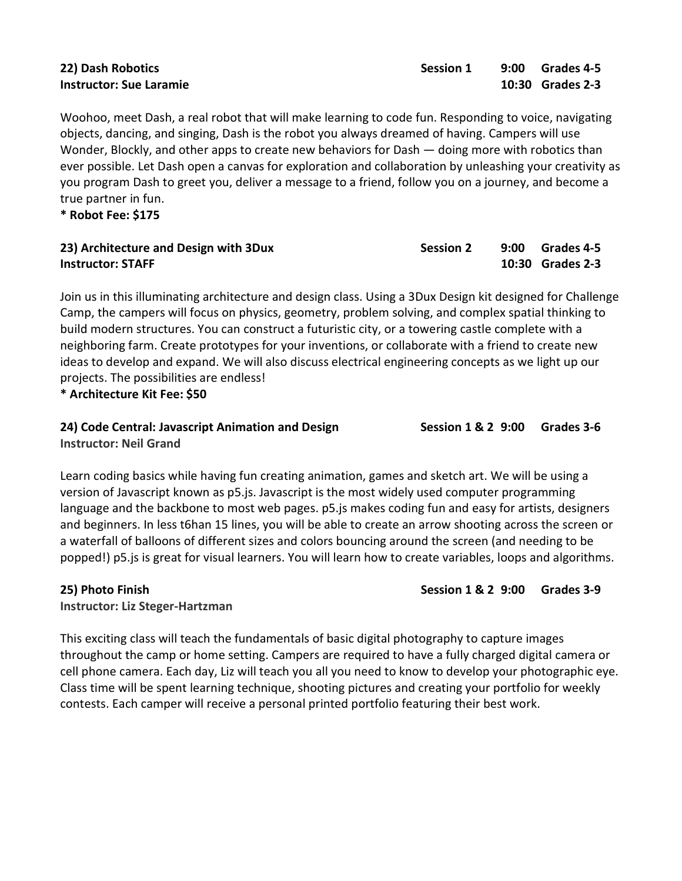| 22) Dash Robotics              |  |
|--------------------------------|--|
| <b>Instructor: Sue Laramie</b> |  |

Woohoo, meet Dash, a real robot that will make learning to code fun. Responding to voice, navigating objects, dancing, and singing, Dash is the robot you always dreamed of having. Campers will use Wonder, Blockly, and other apps to create new behaviors for Dash — doing more with robotics than ever possible. Let Dash open a canvas for exploration and collaboration by unleashing your creativity as you program Dash to greet you, deliver a message to a friend, follow you on a journey, and become a true partner in fun.

\* Robot Fee: \$175

| 23) Architecture and Design with 3Dux | <b>Session 2</b> | 9:00 Grades 4-5  |
|---------------------------------------|------------------|------------------|
| <b>Instructor: STAFF</b>              |                  | 10:30 Grades 2-3 |

Join us in this illuminating architecture and design class. Using a 3Dux Design kit designed for Challenge Camp, the campers will focus on physics, geometry, problem solving, and complex spatial thinking to build modern structures. You can construct a futuristic city, or a towering castle complete with a neighboring farm. Create prototypes for your inventions, or collaborate with a friend to create new ideas to develop and expand. We will also discuss electrical engineering concepts as we light up our projects. The possibilities are endless!

\* Architecture Kit Fee: \$50

### 24) Code Central: Javascript Animation and Design Session 1 & 2 9:00 Grades 3-6 Instructor: Neil Grand

Learn coding basics while having fun creating animation, games and sketch art. We will be using a version of Javascript known as p5.js. Javascript is the most widely used computer programming language and the backbone to most web pages. p5.js makes coding fun and easy for artists, designers and beginners. In less t6han 15 lines, you will be able to create an arrow shooting across the screen or a waterfall of balloons of different sizes and colors bouncing around the screen (and needing to be popped!) p5.js is great for visual learners. You will learn how to create variables, loops and algorithms.

25) Photo Finish Session 1 & 2 9:00 Grades 3-9

Instructor: Liz Steger-Hartzman

This exciting class will teach the fundamentals of basic digital photography to capture images throughout the camp or home setting. Campers are required to have a fully charged digital camera or cell phone camera. Each day, Liz will teach you all you need to know to develop your photographic eye. Class time will be spent learning technique, shooting pictures and creating your portfolio for weekly contests. Each camper will receive a personal printed portfolio featuring their best work.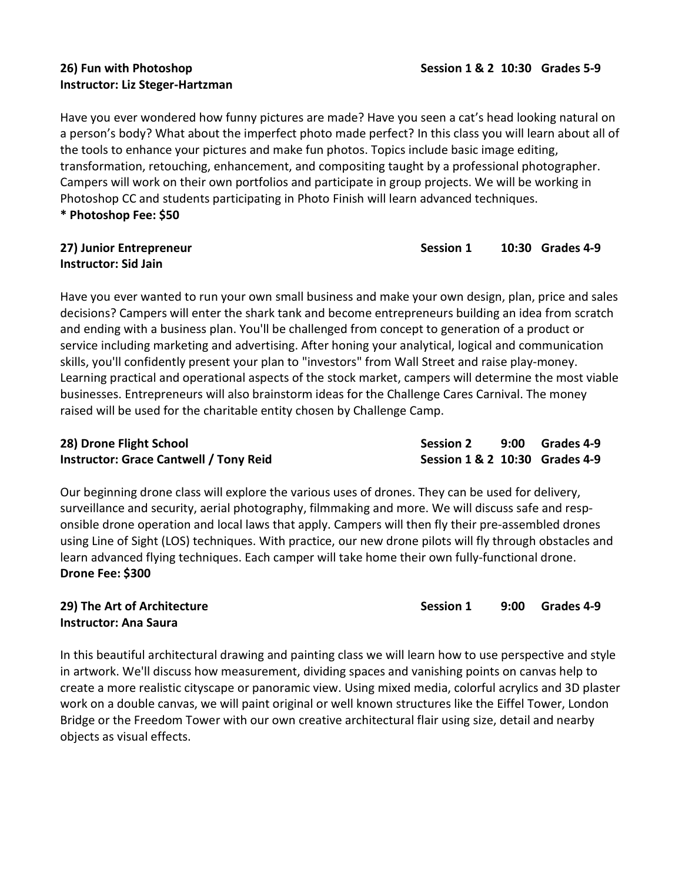# Instructor: Liz Steger-Hartzman

Have you ever wondered how funny pictures are made? Have you seen a cat's head looking natural on a person's body? What about the imperfect photo made perfect? In this class you will learn about all of the tools to enhance your pictures and make fun photos. Topics include basic image editing, transformation, retouching, enhancement, and compositing taught by a professional photographer. Campers will work on their own portfolios and participate in group projects. We will be working in

Photoshop CC and students participating in Photo Finish will learn advanced techniques.

\* Photoshop Fee: \$50

# Instructor: Sid Jain

Have you ever wanted to run your own small business and make your own design, plan, price and sales decisions? Campers will enter the shark tank and become entrepreneurs building an idea from scratch and ending with a business plan. You'll be challenged from concept to generation of a product or service including marketing and advertising. After honing your analytical, logical and communication skills, you'll confidently present your plan to "investors" from Wall Street and raise play-money. Learning practical and operational aspects of the stock market, campers will determine the most viable businesses. Entrepreneurs will also brainstorm ideas for the Challenge Cares Carnival. The money raised will be used for the charitable entity chosen by Challenge Camp.

| 28) Drone Flight School                       | <b>Session 2</b>               | 9:00 Grades 4-9 |
|-----------------------------------------------|--------------------------------|-----------------|
| <b>Instructor: Grace Cantwell / Tony Reid</b> | Session 1 & 2 10:30 Grades 4-9 |                 |

Our beginning drone class will explore the various uses of drones. They can be used for delivery, surveillance and security, aerial photography, filmmaking and more. We will discuss safe and responsible drone operation and local laws that apply. Campers will then fly their pre-assembled drones using Line of Sight (LOS) techniques. With practice, our new drone pilots will fly through obstacles and learn advanced flying techniques. Each camper will take home their own fully-functional drone. Drone Fee: \$300

29) The Art of Architecture November 2012 12:00 Session 1 and 9:00 Grades 4-9 Instructor: Ana Saura

In this beautiful architectural drawing and painting class we will learn how to use perspective and style in artwork. We'll discuss how measurement, dividing spaces and vanishing points on canvas help to create a more realistic cityscape or panoramic view. Using mixed media, colorful acrylics and 3D plaster work on a double canvas, we will paint original or well known structures like the Eiffel Tower, London Bridge or the Freedom Tower with our own creative architectural flair using size, detail and nearby objects as visual effects.

#### 27) Junior Entrepreneur Cassion 1 10:30 Grades 4-9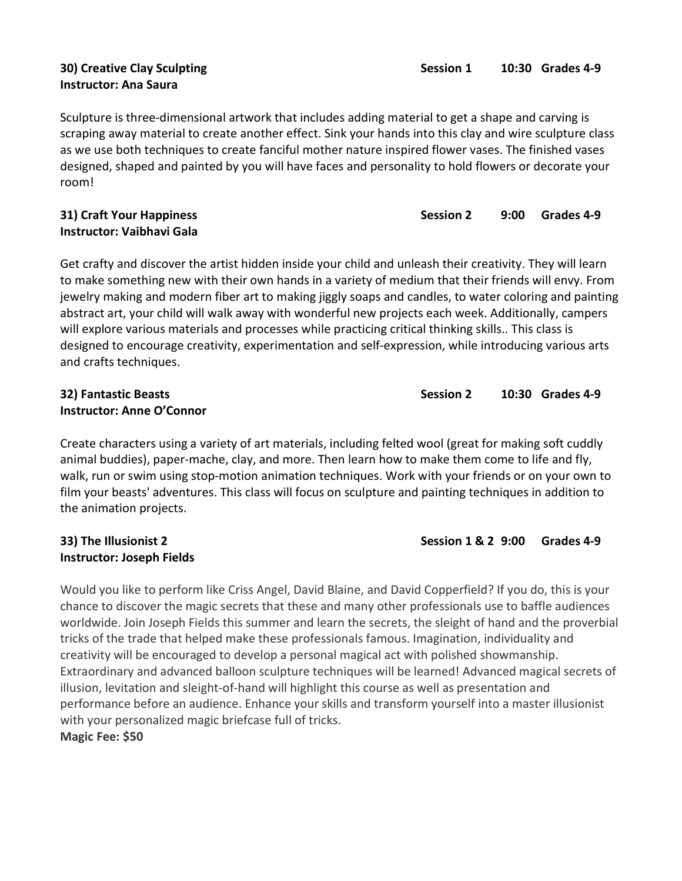# Instructor: Ana Saura

Sculpture is three-dimensional artwork that includes adding material to get a shape and carving is scraping away material to create another effect. Sink your hands into this clay and wire sculpture class as we use both techniques to create fanciful mother nature inspired flower vases. The finished vases designed, shaped and painted by you will have faces and personality to hold flowers or decorate your room!

# Instructor: Vaibhavi Gala

Get crafty and discover the artist hidden inside your child and unleash their creativity. They will learn to make something new with their own hands in a variety of medium that their friends will envy. From jewelry making and modern fiber art to making jiggly soaps and candles, to water coloring and painting abstract art, your child will walk away with wonderful new projects each week. Additionally, campers will explore various materials and processes while practicing critical thinking skills.. This class is designed to encourage creativity, experimentation and self-expression, while introducing various arts and crafts techniques.

# Instructor: Anne O'Connor

Create characters using a variety of art materials, including felted wool (great for making soft cuddly animal buddies), paper-mache, clay, and more. Then learn how to make them come to life and fly, walk, run or swim using stop-motion animation techniques. Work with your friends or on your own to film your beasts' adventures. This class will focus on sculpture and painting techniques in addition to the animation projects.

# 33) The Illusionist 2 Session 1 & 2 9:00 Grades 4-9 Instructor: Joseph Fields

Would you like to perform like Criss Angel, David Blaine, and David Copperfield? If you do, this is your chance to discover the magic secrets that these and many other professionals use to baffle audiences worldwide. Join Joseph Fields this summer and learn the secrets, the sleight of hand and the proverbial tricks of the trade that helped make these professionals famous. Imagination, individuality and creativity will be encouraged to develop a personal magical act with polished showmanship. Extraordinary and advanced balloon sculpture techniques will be learned! Advanced magical secrets of illusion, levitation and sleight-of-hand will highlight this course as well as presentation and performance before an audience. Enhance your skills and transform yourself into a master illusionist with your personalized magic briefcase full of tricks.

Magic Fee: \$50

32) Fantastic Beasts Session 2 10:30 Grades 4-9

31) Craft Your Happiness **Session 2** 9:00 Grades 4-9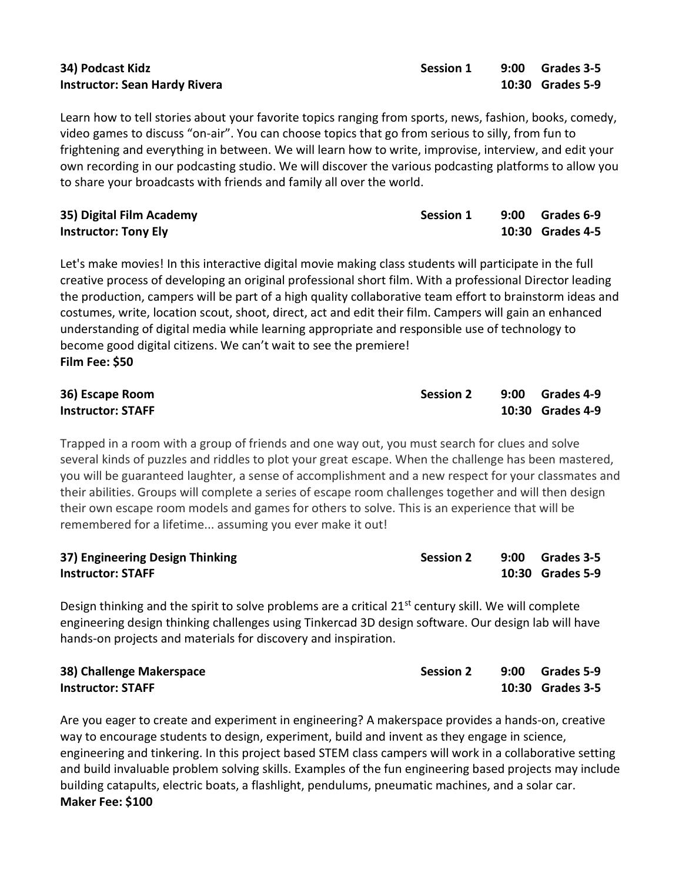| 34) Podcast Kidz                     |  |
|--------------------------------------|--|
| <b>Instructor: Sean Hardy Rivera</b> |  |

Learn how to tell stories about your favorite topics ranging from sports, news, fashion, books, comedy, video games to discuss "on-air". You can choose topics that go from serious to silly, from fun to frightening and everything in between. We will learn how to write, improvise, interview, and edit your own recording in our podcasting studio. We will discover the various podcasting platforms to allow you to share your broadcasts with friends and family all over the world.

| 35) Digital Film Academy    | <b>Session 1</b> | 9:00 Grades 6-9  |
|-----------------------------|------------------|------------------|
| <b>Instructor: Tony Ely</b> |                  | 10:30 Grades 4-5 |

Let's make movies! In this interactive digital movie making class students will participate in the full creative process of developing an original professional short film. With a professional Director leading the production, campers will be part of a high quality collaborative team effort to brainstorm ideas and costumes, write, location scout, shoot, direct, act and edit their film. Campers will gain an enhanced understanding of digital media while learning appropriate and responsible use of technology to become good digital citizens. We can't wait to see the premiere! Film Fee: \$50

| 36) Escape Room          | <b>Session 2</b> | 9:00 Grades 4-9  |
|--------------------------|------------------|------------------|
| <b>Instructor: STAFF</b> |                  | 10:30 Grades 4-9 |

Trapped in a room with a group of friends and one way out, you must search for clues and solve several kinds of puzzles and riddles to plot your great escape. When the challenge has been mastered, you will be guaranteed laughter, a sense of accomplishment and a new respect for your classmates and their abilities. Groups will complete a series of escape room challenges together and will then design their own escape room models and games for others to solve. This is an experience that will be remembered for a lifetime... assuming you ever make it out!

| 37) Engineering Design Thinking | <b>Session 2</b> | 9:00 Grades 3-5  |
|---------------------------------|------------------|------------------|
| <b>Instructor: STAFF</b>        |                  | 10:30 Grades 5-9 |

Design thinking and the spirit to solve problems are a critical 21<sup>st</sup> century skill. We will complete engineering design thinking challenges using Tinkercad 3D design software. Our design lab will have hands-on projects and materials for discovery and inspiration.

| 38) Challenge Makerspace | <b>Session 2</b> | 9:00 Grades 5-9  |
|--------------------------|------------------|------------------|
| <b>Instructor: STAFF</b> |                  | 10:30 Grades 3-5 |

Are you eager to create and experiment in engineering? A makerspace provides a hands-on, creative way to encourage students to design, experiment, build and invent as they engage in science, engineering and tinkering. In this project based STEM class campers will work in a collaborative setting and build invaluable problem solving skills. Examples of the fun engineering based projects may include building catapults, electric boats, a flashlight, pendulums, pneumatic machines, and a solar car. Maker Fee: \$100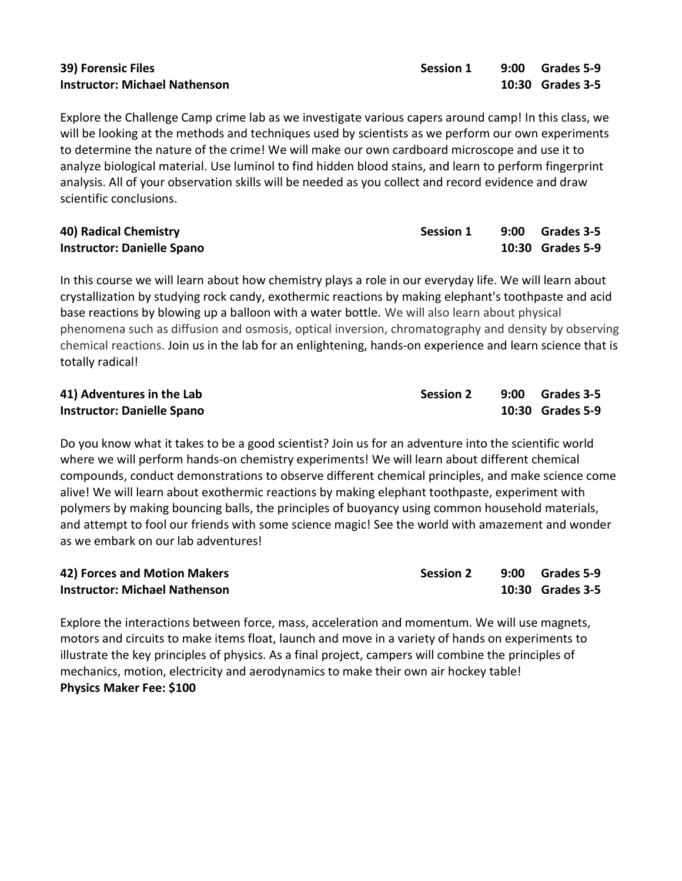Explore the Challenge Camp crime lab as we investigate various capers around camp! In this class, we will be looking at the methods and techniques used by scientists as we perform our own experiments to determine the nature of the crime! We will make our own cardboard microscope and use it to analyze biological material. Use luminol to find hidden blood stains, and learn to perform fingerprint analysis. All of your observation skills will be needed as you collect and record evidence and draw scientific conclusions.

| 40) Radical Chemistry             | <b>Session 1</b> | 9:00 Grades 3-5  |
|-----------------------------------|------------------|------------------|
| <b>Instructor: Danielle Spano</b> |                  | 10:30 Grades 5-9 |

In this course we will learn about how chemistry plays a role in our everyday life. We will learn about crystallization by studying rock candy, exothermic reactions by making elephant's toothpaste and acid base reactions by blowing up a balloon with a water bottle. We will also learn about physical phenomena such as diffusion and osmosis, optical inversion, chromatography and density by observing chemical reactions. Join us in the lab for an enlightening, hands-on experience and learn science that is totally radical!

| 41) Adventures in the Lab         | <b>Session 2</b> | 9:00 Grades 3-5  |
|-----------------------------------|------------------|------------------|
| <b>Instructor: Danielle Spano</b> |                  | 10:30 Grades 5-9 |

Do you know what it takes to be a good scientist? Join us for an adventure into the scientific world where we will perform hands-on chemistry experiments! We will learn about different chemical compounds, conduct demonstrations to observe different chemical principles, and make science come alive! We will learn about exothermic reactions by making elephant toothpaste, experiment with polymers by making bouncing balls, the principles of buoyancy using common household materials, and attempt to fool our friends with some science magic! See the world with amazement and wonder as we embark on our lab adventures!

| 42) Forces and Motion Makers         | <b>Session 2</b> | 9:00 Grades 5-9  |
|--------------------------------------|------------------|------------------|
| <b>Instructor: Michael Nathenson</b> |                  | 10:30 Grades 3-5 |

Explore the interactions between force, mass, acceleration and momentum. We will use magnets, motors and circuits to make items float, launch and move in a variety of hands on experiments to illustrate the key principles of physics. As a final project, campers will combine the principles of mechanics, motion, electricity and aerodynamics to make their own air hockey table! Physics Maker Fee: \$100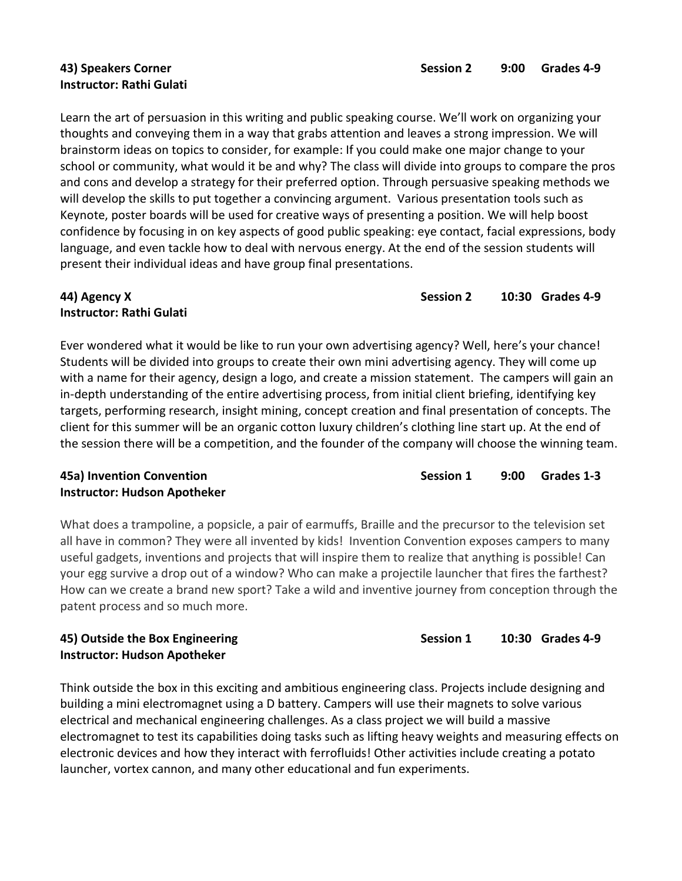# Instructor: Rathi Gulati

Learn the art of persuasion in this writing and public speaking course. We'll work on organizing your thoughts and conveying them in a way that grabs attention and leaves a strong impression. We will brainstorm ideas on topics to consider, for example: If you could make one major change to your school or community, what would it be and why? The class will divide into groups to compare the pros and cons and develop a strategy for their preferred option. Through persuasive speaking methods we will develop the skills to put together a convincing argument. Various presentation tools such as Keynote, poster boards will be used for creative ways of presenting a position. We will help boost confidence by focusing in on key aspects of good public speaking: eye contact, facial expressions, body language, and even tackle how to deal with nervous energy. At the end of the session students will present their individual ideas and have group final presentations.

### 44) Agency X Session 2 2012 10:30 Grades 4-9 Instructor: Rathi Gulati

Ever wondered what it would be like to run your own advertising agency? Well, here's your chance! Students will be divided into groups to create their own mini advertising agency. They will come up with a name for their agency, design a logo, and create a mission statement. The campers will gain an in-depth understanding of the entire advertising process, from initial client briefing, identifying key targets, performing research, insight mining, concept creation and final presentation of concepts. The client for this summer will be an organic cotton luxury children's clothing line start up. At the end of the session there will be a competition, and the founder of the company will choose the winning team.

#### 45a) Invention Convention **Session 1** 9:00 Grades 1-3 Instructor: Hudson Apotheker

What does a trampoline, a popsicle, a pair of earmuffs, Braille and the precursor to the television set all have in common? They were all invented by kids! Invention Convention exposes campers to many useful gadgets, inventions and projects that will inspire them to realize that anything is possible! Can your egg survive a drop out of a window? Who can make a projectile launcher that fires the farthest? How can we create a brand new sport? Take a wild and inventive journey from conception through the patent process and so much more.

# Instructor: Hudson Apotheker

Think outside the box in this exciting and ambitious engineering class. Projects include designing and building a mini electromagnet using a D battery. Campers will use their magnets to solve various electrical and mechanical engineering challenges. As a class project we will build a massive electromagnet to test its capabilities doing tasks such as lifting heavy weights and measuring effects on electronic devices and how they interact with ferrofluids! Other activities include creating a potato launcher, vortex cannon, and many other educational and fun experiments.

45) Outside the Box Engineering The Session 1 10:30 Grades 4-9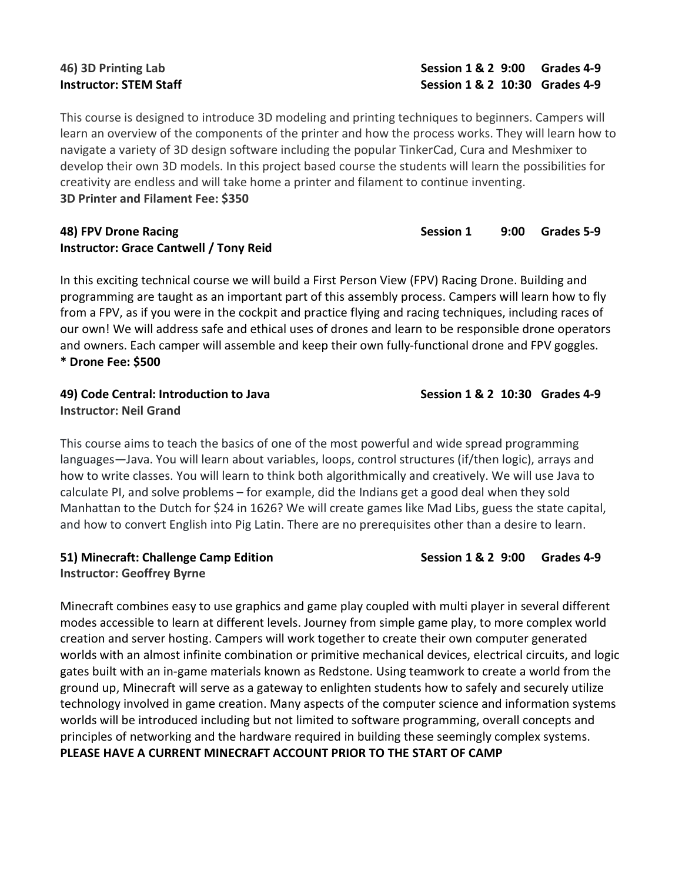This course is designed to introduce 3D modeling and printing techniques to beginners. Campers will learn an overview of the components of the printer and how the process works. They will learn how to navigate a variety of 3D design software including the popular TinkerCad, Cura and Meshmixer to develop their own 3D models. In this project based course the students will learn the possibilities for creativity are endless and will take home a printer and filament to continue inventing. 3D Printer and Filament Fee: \$350

#### 48) FPV Drone Racing National Session 1 and 9:00 Grades 5-9 Instructor: Grace Cantwell / Tony Reid

In this exciting technical course we will build a First Person View (FPV) Racing Drone. Building and programming are taught as an important part of this assembly process. Campers will learn how to fly from a FPV, as if you were in the cockpit and practice flying and racing techniques, including races of our own! We will address safe and ethical uses of drones and learn to be responsible drone operators and owners. Each camper will assemble and keep their own fully-functional drone and FPV goggles. \* Drone Fee: \$500

# 49) Code Central: Introduction to Java Session 1 & 2 10:30 Grades 4-9 Instructor: Neil Grand

This course aims to teach the basics of one of the most powerful and wide spread programming languages—Java. You will learn about variables, loops, control structures (if/then logic), arrays and how to write classes. You will learn to think both algorithmically and creatively. We will use Java to calculate PI, and solve problems – for example, did the Indians get a good deal when they sold Manhattan to the Dutch for \$24 in 1626? We will create games like Mad Libs, guess the state capital, and how to convert English into Pig Latin. There are no prerequisites other than a desire to learn.

## 51) Minecraft: Challenge Camp Edition Session 1 & 2 9:00 Grades 4-9 Instructor: Geoffrey Byrne

Minecraft combines easy to use graphics and game play coupled with multi player in several different modes accessible to learn at different levels. Journey from simple game play, to more complex world creation and server hosting. Campers will work together to create their own computer generated worlds with an almost infinite combination or primitive mechanical devices, electrical circuits, and logic gates built with an in-game materials known as Redstone. Using teamwork to create a world from the ground up, Minecraft will serve as a gateway to enlighten students how to safely and securely utilize technology involved in game creation. Many aspects of the computer science and information systems worlds will be introduced including but not limited to software programming, overall concepts and principles of networking and the hardware required in building these seemingly complex systems. PLEASE HAVE A CURRENT MINECRAFT ACCOUNT PRIOR TO THE START OF CAMP

46) 3D Printing Lab Session 1 & 2 9:00 Grades 4-9 Instructor: STEM Staff Session 1 & 2 10:30 Grades 4-9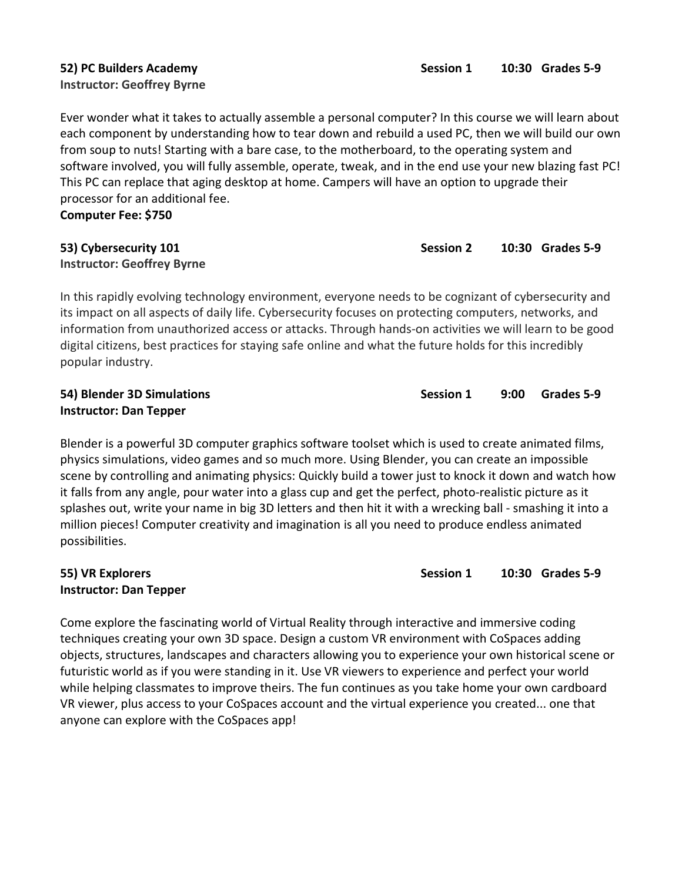### 52) PC Builders Academy Session 1 20:30 Grades 5-9 Instructor: Geoffrey Byrne

Ever wonder what it takes to actually assemble a personal computer? In this course we will learn about each component by understanding how to tear down and rebuild a used PC, then we will build our own from soup to nuts! Starting with a bare case, to the motherboard, to the operating system and software involved, you will fully assemble, operate, tweak, and in the end use your new blazing fast PC! This PC can replace that aging desktop at home. Campers will have an option to upgrade their processor for an additional fee. Computer Fee: \$750

# Instructor: Geoffrey Byrne

In this rapidly evolving technology environment, everyone needs to be cognizant of cybersecurity and its impact on all aspects of daily life. Cybersecurity focuses on protecting computers, networks, and information from unauthorized access or attacks. Through hands-on activities we will learn to be good digital citizens, best practices for staying safe online and what the future holds for this incredibly popular industry.

# Instructor: Dan Tepper

Blender is a powerful 3D computer graphics software toolset which is used to create animated films, physics simulations, video games and so much more. Using Blender, you can create an impossible scene by controlling and animating physics: Quickly build a tower just to knock it down and watch how it falls from any angle, pour water into a glass cup and get the perfect, photo-realistic picture as it splashes out, write your name in big 3D letters and then hit it with a wrecking ball - smashing it into a million pieces! Computer creativity and imagination is all you need to produce endless animated possibilities.

# Instructor: Dan Tepper

Come explore the fascinating world of Virtual Reality through interactive and immersive coding techniques creating your own 3D space. Design a custom VR environment with CoSpaces adding objects, structures, landscapes and characters allowing you to experience your own historical scene or futuristic world as if you were standing in it. Use VR viewers to experience and perfect your world while helping classmates to improve theirs. The fun continues as you take home your own cardboard VR viewer, plus access to your CoSpaces account and the virtual experience you created... one that anyone can explore with the CoSpaces app!

54) Blender 3D Simulations Session 1 9:00 Grades 5-9

55) VR Explorers Session 1 20:30 Grades 5-9

# 53) Cybersecurity 101 and the session 2 10:30 Grades 5-9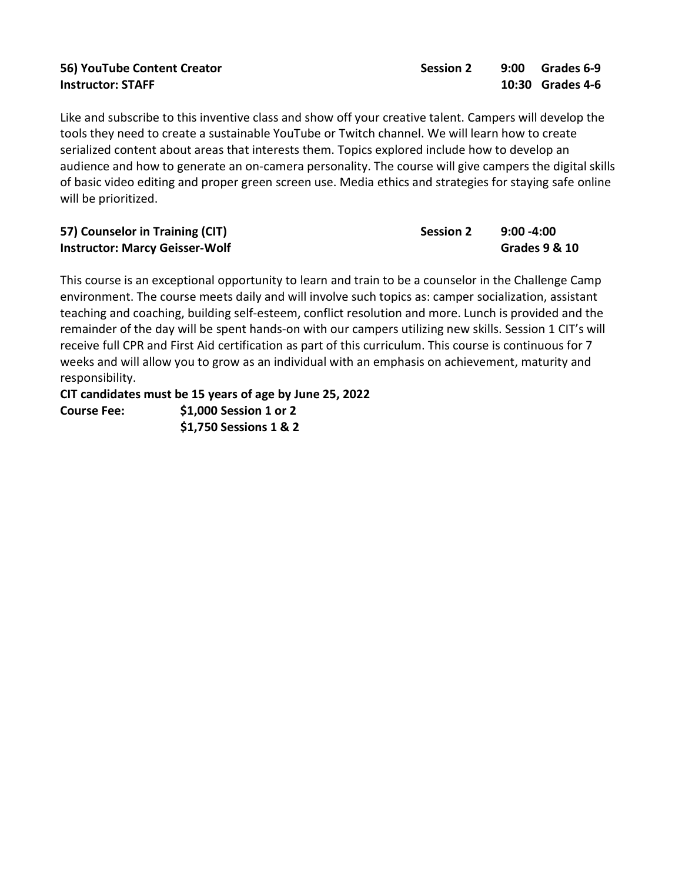Like and subscribe to this inventive class and show off your creative talent. Campers will develop the tools they need to create a sustainable YouTube or Twitch channel. We will learn how to create serialized content about areas that interests them. Topics explored include how to develop an audience and how to generate an on-camera personality. The course will give campers the digital skills of basic video editing and proper green screen use. Media ethics and strategies for staying safe online will be prioritized.

| 57) Counselor in Training (CIT)       | <b>Session 2</b> | $9:00 - 4:00$            |
|---------------------------------------|------------------|--------------------------|
| <b>Instructor: Marcy Geisser-Wolf</b> |                  | <b>Grades 9 &amp; 10</b> |

This course is an exceptional opportunity to learn and train to be a counselor in the Challenge Camp environment. The course meets daily and will involve such topics as: camper socialization, assistant teaching and coaching, building self-esteem, conflict resolution and more. Lunch is provided and the remainder of the day will be spent hands-on with our campers utilizing new skills. Session 1 CIT's will receive full CPR and First Aid certification as part of this curriculum. This course is continuous for 7 weeks and will allow you to grow as an individual with an emphasis on achievement, maturity and responsibility.

CIT candidates must be 15 years of age by June 25, 2022 Course Fee: \$1,000 Session 1 or 2 \$1,750 Sessions 1 & 2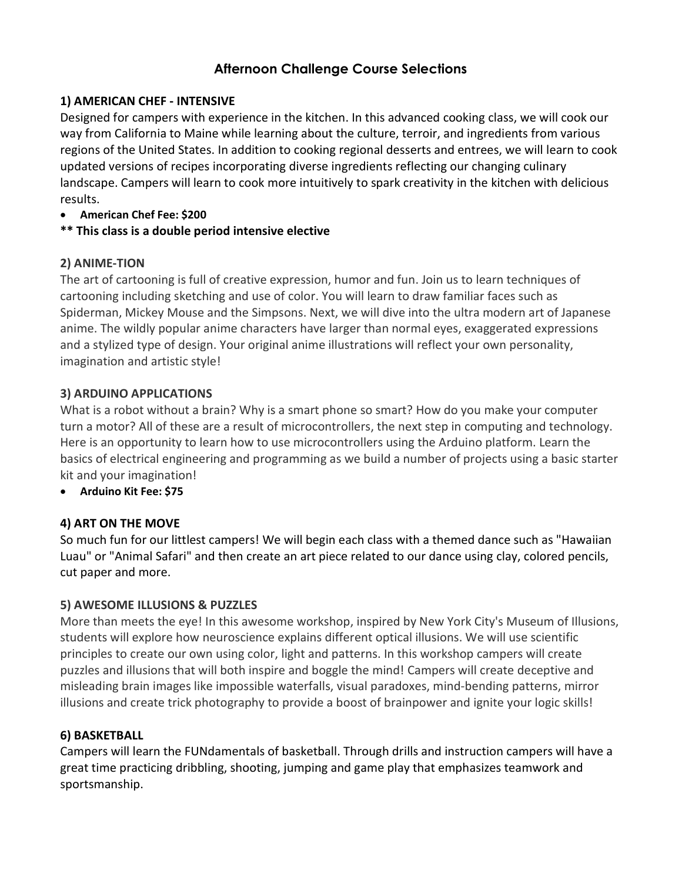# Afternoon Challenge Course Selections

# 1) AMERICAN CHEF - INTENSIVE

Designed for campers with experience in the kitchen. In this advanced cooking class, we will cook our way from California to Maine while learning about the culture, terroir, and ingredients from various regions of the United States. In addition to cooking regional desserts and entrees, we will learn to cook updated versions of recipes incorporating diverse ingredients reflecting our changing culinary landscape. Campers will learn to cook more intuitively to spark creativity in the kitchen with delicious results.

## American Chef Fee: \$200

# \*\* This class is a double period intensive elective

# 2) ANIME-TION

The art of cartooning is full of creative expression, humor and fun. Join us to learn techniques of cartooning including sketching and use of color. You will learn to draw familiar faces such as Spiderman, Mickey Mouse and the Simpsons. Next, we will dive into the ultra modern art of Japanese anime. The wildly popular anime characters have larger than normal eyes, exaggerated expressions and a stylized type of design. Your original anime illustrations will reflect your own personality, imagination and artistic style!

# 3) ARDUINO APPLICATIONS

What is a robot without a brain? Why is a smart phone so smart? How do you make your computer turn a motor? All of these are a result of microcontrollers, the next step in computing and technology. Here is an opportunity to learn how to use microcontrollers using the Arduino platform. Learn the basics of electrical engineering and programming as we build a number of projects using a basic starter kit and your imagination!

Arduino Kit Fee: \$75

# 4) ART ON THE MOVE

So much fun for our littlest campers! We will begin each class with a themed dance such as "Hawaiian Luau" or "Animal Safari" and then create an art piece related to our dance using clay, colored pencils, cut paper and more.

# 5) AWESOME ILLUSIONS & PUZZLES

More than meets the eye! In this awesome workshop, inspired by New York City's Museum of Illusions, students will explore how neuroscience explains different optical illusions. We will use scientific principles to create our own using color, light and patterns. In this workshop campers will create puzzles and illusions that will both inspire and boggle the mind! Campers will create deceptive and misleading brain images like impossible waterfalls, visual paradoxes, mind-bending patterns, mirror illusions and create trick photography to provide a boost of brainpower and ignite your logic skills!

# 6) BASKETBALL

Campers will learn the FUNdamentals of basketball. Through drills and instruction campers will have a great time practicing dribbling, shooting, jumping and game play that emphasizes teamwork and sportsmanship.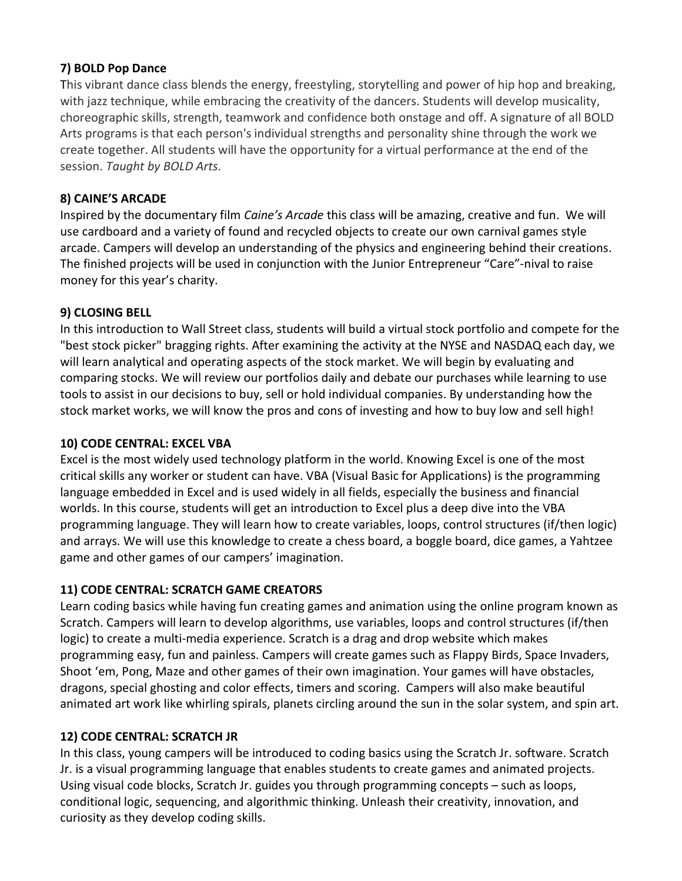### 7) BOLD Pop Dance

This vibrant dance class blends the energy, freestyling, storytelling and power of hip hop and breaking, with jazz technique, while embracing the creativity of the dancers. Students will develop musicality, choreographic skills, strength, teamwork and confidence both onstage and off. A signature of all BOLD Arts programs is that each person's individual strengths and personality shine through the work we create together. All students will have the opportunity for a virtual performance at the end of the session. Taught by BOLD Arts.

# 8) CAINE'S ARCADE

Inspired by the documentary film Caine's Arcade this class will be amazing, creative and fun. We will use cardboard and a variety of found and recycled objects to create our own carnival games style arcade. Campers will develop an understanding of the physics and engineering behind their creations. The finished projects will be used in conjunction with the Junior Entrepreneur "Care"-nival to raise money for this year's charity.

# 9) CLOSING BELL

In this introduction to Wall Street class, students will build a virtual stock portfolio and compete for the "best stock picker" bragging rights. After examining the activity at the NYSE and NASDAQ each day, we will learn analytical and operating aspects of the stock market. We will begin by evaluating and comparing stocks. We will review our portfolios daily and debate our purchases while learning to use tools to assist in our decisions to buy, sell or hold individual companies. By understanding how the stock market works, we will know the pros and cons of investing and how to buy low and sell high!

# 10) CODE CENTRAL: EXCEL VBA

Excel is the most widely used technology platform in the world. Knowing Excel is one of the most critical skills any worker or student can have. VBA (Visual Basic for Applications) is the programming language embedded in Excel and is used widely in all fields, especially the business and financial worlds. In this course, students will get an introduction to Excel plus a deep dive into the VBA programming language. They will learn how to create variables, loops, control structures (if/then logic) and arrays. We will use this knowledge to create a chess board, a boggle board, dice games, a Yahtzee game and other games of our campers' imagination.

# 11) CODE CENTRAL: SCRATCH GAME CREATORS

Learn coding basics while having fun creating games and animation using the online program known as Scratch. Campers will learn to develop algorithms, use variables, loops and control structures (if/then logic) to create a multi-media experience. Scratch is a drag and drop website which makes programming easy, fun and painless. Campers will create games such as Flappy Birds, Space Invaders, Shoot 'em, Pong, Maze and other games of their own imagination. Your games will have obstacles, dragons, special ghosting and color effects, timers and scoring. Campers will also make beautiful animated art work like whirling spirals, planets circling around the sun in the solar system, and spin art.

# 12) CODE CENTRAL: SCRATCH JR

In this class, young campers will be introduced to coding basics using the Scratch Jr. software. Scratch Jr. is a visual programming language that enables students to create games and animated projects. Using visual code blocks, Scratch Jr. guides you through programming concepts – such as loops, conditional logic, sequencing, and algorithmic thinking. Unleash their creativity, innovation, and curiosity as they develop coding skills.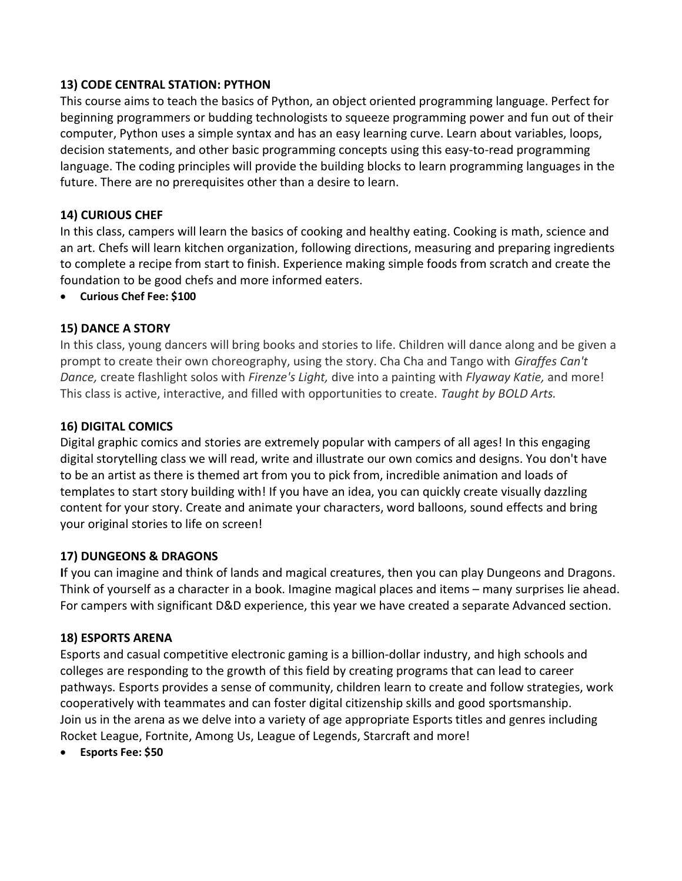#### 13) CODE CENTRAL STATION: PYTHON

This course aims to teach the basics of Python, an object oriented programming language. Perfect for beginning programmers or budding technologists to squeeze programming power and fun out of their computer, Python uses a simple syntax and has an easy learning curve. Learn about variables, loops, decision statements, and other basic programming concepts using this easy-to-read programming language. The coding principles will provide the building blocks to learn programming languages in the future. There are no prerequisites other than a desire to learn.

#### 14) CURIOUS CHEF

In this class, campers will learn the basics of cooking and healthy eating. Cooking is math, science and an art. Chefs will learn kitchen organization, following directions, measuring and preparing ingredients to complete a recipe from start to finish. Experience making simple foods from scratch and create the foundation to be good chefs and more informed eaters.

Curious Chef Fee: \$100

#### 15) DANCE A STORY

In this class, young dancers will bring books and stories to life. Children will dance along and be given a prompt to create their own choreography, using the story. Cha Cha and Tango with Giraffes Can't Dance, create flashlight solos with Firenze's Light, dive into a painting with Flyaway Katie, and more! This class is active, interactive, and filled with opportunities to create. Taught by BOLD Arts.

#### 16) DIGITAL COMICS

Digital graphic comics and stories are extremely popular with campers of all ages! In this engaging digital storytelling class we will read, write and illustrate our own comics and designs. You don't have to be an artist as there is themed art from you to pick from, incredible animation and loads of templates to start story building with! If you have an idea, you can quickly create visually dazzling content for your story. Create and animate your characters, word balloons, sound effects and bring your original stories to life on screen!

#### 17) DUNGEONS & DRAGONS

If you can imagine and think of lands and magical creatures, then you can play Dungeons and Dragons. Think of yourself as a character in a book. Imagine magical places and items – many surprises lie ahead. For campers with significant D&D experience, this year we have created a separate Advanced section.

#### 18) ESPORTS ARENA

Esports and casual competitive electronic gaming is a billion-dollar industry, and high schools and colleges are responding to the growth of this field by creating programs that can lead to career pathways. Esports provides a sense of community, children learn to create and follow strategies, work cooperatively with teammates and can foster digital citizenship skills and good sportsmanship. Join us in the arena as we delve into a variety of age appropriate Esports titles and genres including Rocket League, Fortnite, Among Us, League of Legends, Starcraft and more!

Esports Fee: \$50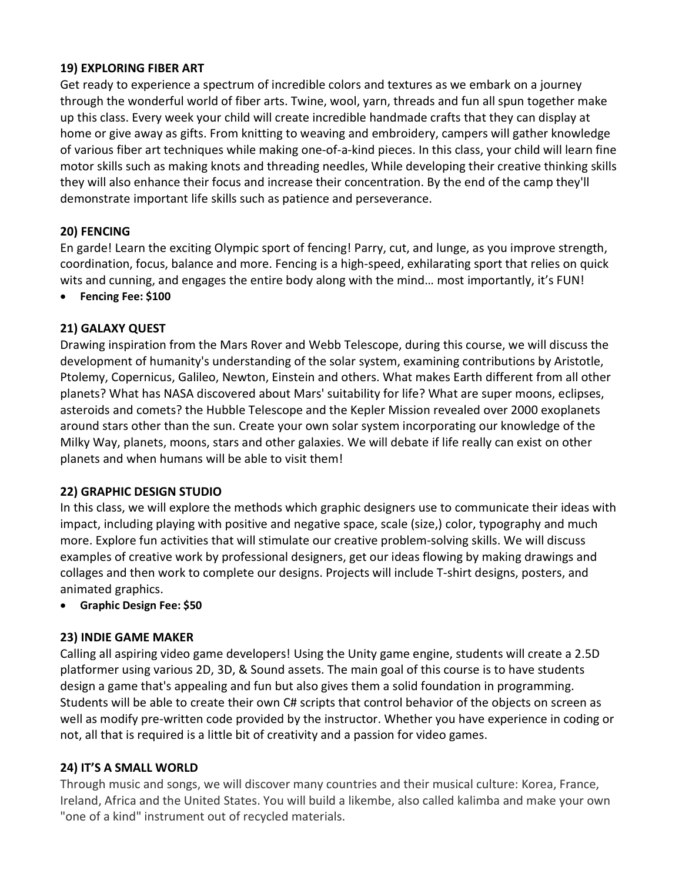### 19) EXPLORING FIBER ART

Get ready to experience a spectrum of incredible colors and textures as we embark on a journey through the wonderful world of fiber arts. Twine, wool, yarn, threads and fun all spun together make up this class. Every week your child will create incredible handmade crafts that they can display at home or give away as gifts. From knitting to weaving and embroidery, campers will gather knowledge of various fiber art techniques while making one-of-a-kind pieces. In this class, your child will learn fine motor skills such as making knots and threading needles, While developing their creative thinking skills they will also enhance their focus and increase their concentration. By the end of the camp they'll demonstrate important life skills such as patience and perseverance.

# 20) FENCING

En garde! Learn the exciting Olympic sport of fencing! Parry, cut, and lunge, as you improve strength, coordination, focus, balance and more. Fencing is a high-speed, exhilarating sport that relies on quick wits and cunning, and engages the entire body along with the mind… most importantly, it's FUN!

Fencing Fee: \$100

# 21) GALAXY QUEST

Drawing inspiration from the Mars Rover and Webb Telescope, during this course, we will discuss the development of humanity's understanding of the solar system, examining contributions by Aristotle, Ptolemy, Copernicus, Galileo, Newton, Einstein and others. What makes Earth different from all other planets? What has NASA discovered about Mars' suitability for life? What are super moons, eclipses, asteroids and comets? the Hubble Telescope and the Kepler Mission revealed over 2000 exoplanets around stars other than the sun. Create your own solar system incorporating our knowledge of the Milky Way, planets, moons, stars and other galaxies. We will debate if life really can exist on other planets and when humans will be able to visit them!

### 22) GRAPHIC DESIGN STUDIO

In this class, we will explore the methods which graphic designers use to communicate their ideas with impact, including playing with positive and negative space, scale (size,) color, typography and much more. Explore fun activities that will stimulate our creative problem-solving skills. We will discuss examples of creative work by professional designers, get our ideas flowing by making drawings and collages and then work to complete our designs. Projects will include T-shirt designs, posters, and animated graphics.

### Graphic Design Fee: \$50

### 23) INDIE GAME MAKER

Calling all aspiring video game developers! Using the Unity game engine, students will create a 2.5D platformer using various 2D, 3D, & Sound assets. The main goal of this course is to have students design a game that's appealing and fun but also gives them a solid foundation in programming. Students will be able to create their own C# scripts that control behavior of the objects on screen as well as modify pre-written code provided by the instructor. Whether you have experience in coding or not, all that is required is a little bit of creativity and a passion for video games.

### 24) IT'S A SMALL WORLD

Through music and songs, we will discover many countries and their musical culture: Korea, France, Ireland, Africa and the United States. You will build a likembe, also called kalimba and make your own "one of a kind" instrument out of recycled materials.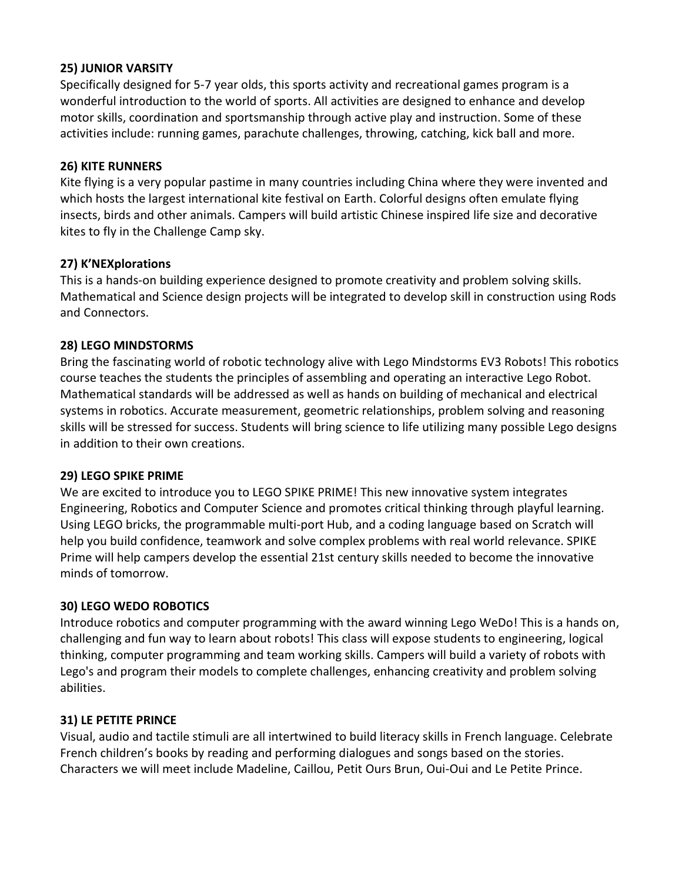#### 25) JUNIOR VARSITY

Specifically designed for 5-7 year olds, this sports activity and recreational games program is a wonderful introduction to the world of sports. All activities are designed to enhance and develop motor skills, coordination and sportsmanship through active play and instruction. Some of these activities include: running games, parachute challenges, throwing, catching, kick ball and more.

#### 26) KITE RUNNERS

Kite flying is a very popular pastime in many countries including China where they were invented and which hosts the largest international kite festival on Earth. Colorful designs often emulate flying insects, birds and other animals. Campers will build artistic Chinese inspired life size and decorative kites to fly in the Challenge Camp sky.

#### 27) K'NEXplorations

This is a hands-on building experience designed to promote creativity and problem solving skills. Mathematical and Science design projects will be integrated to develop skill in construction using Rods and Connectors.

#### 28) LEGO MINDSTORMS

Bring the fascinating world of robotic technology alive with Lego Mindstorms EV3 Robots! This robotics course teaches the students the principles of assembling and operating an interactive Lego Robot. Mathematical standards will be addressed as well as hands on building of mechanical and electrical systems in robotics. Accurate measurement, geometric relationships, problem solving and reasoning skills will be stressed for success. Students will bring science to life utilizing many possible Lego designs in addition to their own creations.

#### 29) LEGO SPIKE PRIME

We are excited to introduce you to LEGO SPIKE PRIME! This new innovative system integrates Engineering, Robotics and Computer Science and promotes critical thinking through playful learning. Using LEGO bricks, the programmable multi-port Hub, and a coding language based on Scratch will help you build confidence, teamwork and solve complex problems with real world relevance. SPIKE Prime will help campers develop the essential 21st century skills needed to become the innovative minds of tomorrow.

### 30) LEGO WEDO ROBOTICS

Introduce robotics and computer programming with the award winning Lego WeDo! This is a hands on, challenging and fun way to learn about robots! This class will expose students to engineering, logical thinking, computer programming and team working skills. Campers will build a variety of robots with Lego's and program their models to complete challenges, enhancing creativity and problem solving abilities.

#### 31) LE PETITE PRINCE

Visual, audio and tactile stimuli are all intertwined to build literacy skills in French language. Celebrate French children's books by reading and performing dialogues and songs based on the stories. Characters we will meet include Madeline, Caillou, Petit Ours Brun, Oui-Oui and Le Petite Prince.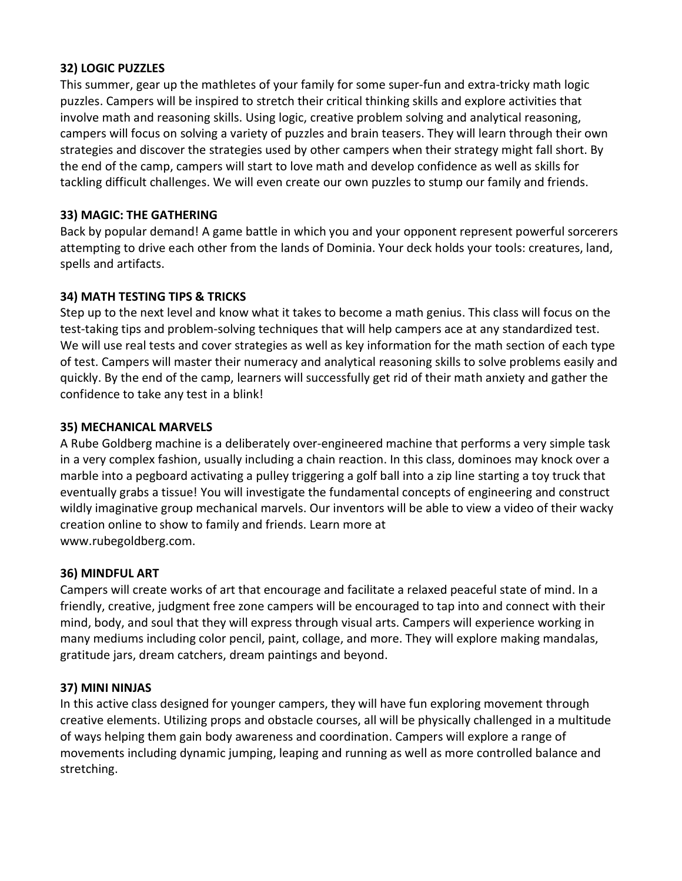#### 32) LOGIC PUZZLES

This summer, gear up the mathletes of your family for some super-fun and extra-tricky math logic puzzles. Campers will be inspired to stretch their critical thinking skills and explore activities that involve math and reasoning skills. Using logic, creative problem solving and analytical reasoning, campers will focus on solving a variety of puzzles and brain teasers. They will learn through their own strategies and discover the strategies used by other campers when their strategy might fall short. By the end of the camp, campers will start to love math and develop confidence as well as skills for tackling difficult challenges. We will even create our own puzzles to stump our family and friends.

#### 33) MAGIC: THE GATHERING

Back by popular demand! A game battle in which you and your opponent represent powerful sorcerers attempting to drive each other from the lands of Dominia. Your deck holds your tools: creatures, land, spells and artifacts.

#### 34) MATH TESTING TIPS & TRICKS

Step up to the next level and know what it takes to become a math genius. This class will focus on the test-taking tips and problem-solving techniques that will help campers ace at any standardized test. We will use real tests and cover strategies as well as key information for the math section of each type of test. Campers will master their numeracy and analytical reasoning skills to solve problems easily and quickly. By the end of the camp, learners will successfully get rid of their math anxiety and gather the confidence to take any test in a blink!

#### 35) MECHANICAL MARVELS

A Rube Goldberg machine is a deliberately over-engineered machine that performs a very simple task in a very complex fashion, usually including a chain reaction. In this class, dominoes may knock over a marble into a pegboard activating a pulley triggering a golf ball into a zip line starting a toy truck that eventually grabs a tissue! You will investigate the fundamental concepts of engineering and construct wildly imaginative group mechanical marvels. Our inventors will be able to view a video of their wacky creation online to show to family and friends. Learn more at www.rubegoldberg.com.

#### 36) MINDFUL ART

Campers will create works of art that encourage and facilitate a relaxed peaceful state of mind. In a friendly, creative, judgment free zone campers will be encouraged to tap into and connect with their mind, body, and soul that they will express through visual arts. Campers will experience working in many mediums including color pencil, paint, collage, and more. They will explore making mandalas, gratitude jars, dream catchers, dream paintings and beyond.

### 37) MINI NINJAS

In this active class designed for younger campers, they will have fun exploring movement through creative elements. Utilizing props and obstacle courses, all will be physically challenged in a multitude of ways helping them gain body awareness and coordination. Campers will explore a range of movements including dynamic jumping, leaping and running as well as more controlled balance and stretching.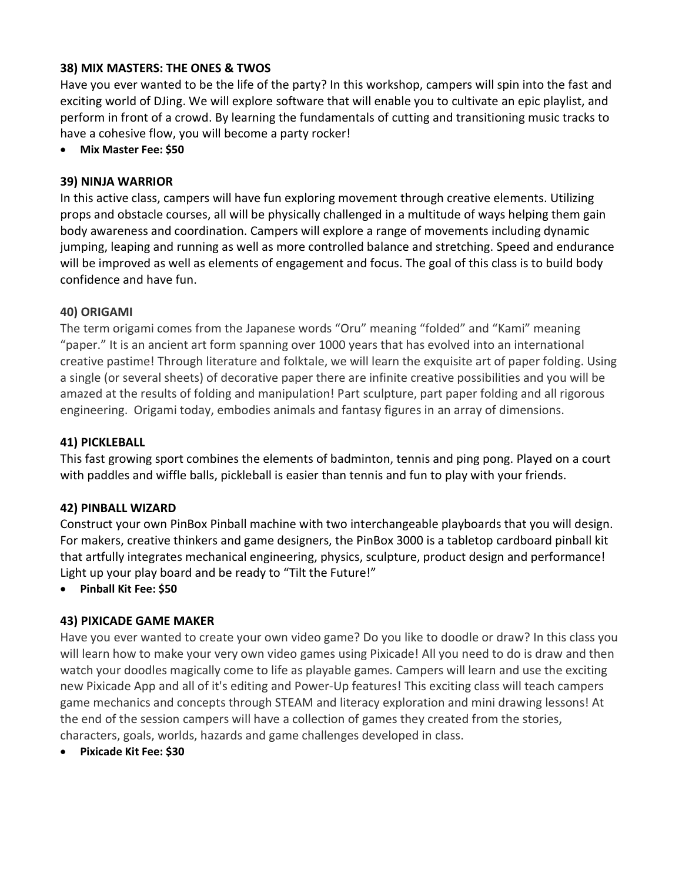### 38) MIX MASTERS: THE ONES & TWOS

Have you ever wanted to be the life of the party? In this workshop, campers will spin into the fast and exciting world of DJing. We will explore software that will enable you to cultivate an epic playlist, and perform in front of a crowd. By learning the fundamentals of cutting and transitioning music tracks to have a cohesive flow, you will become a party rocker!

Mix Master Fee: \$50

#### 39) NINJA WARRIOR

In this active class, campers will have fun exploring movement through creative elements. Utilizing props and obstacle courses, all will be physically challenged in a multitude of ways helping them gain body awareness and coordination. Campers will explore a range of movements including dynamic jumping, leaping and running as well as more controlled balance and stretching. Speed and endurance will be improved as well as elements of engagement and focus. The goal of this class is to build body confidence and have fun.

#### 40) ORIGAMI

The term origami comes from the Japanese words "Oru" meaning "folded" and "Kami" meaning "paper." It is an ancient art form spanning over 1000 years that has evolved into an international creative pastime! Through literature and folktale, we will learn the exquisite art of paper folding. Using a single (or several sheets) of decorative paper there are infinite creative possibilities and you will be amazed at the results of folding and manipulation! Part sculpture, part paper folding and all rigorous engineering. Origami today, embodies animals and fantasy figures in an array of dimensions.

#### 41) PICKLEBALL

This fast growing sport combines the elements of badminton, tennis and ping pong. Played on a court with paddles and wiffle balls, pickleball is easier than tennis and fun to play with your friends.

#### 42) PINBALL WIZARD

Construct your own PinBox Pinball machine with two interchangeable playboards that you will design. For makers, creative thinkers and game designers, the PinBox 3000 is a tabletop cardboard pinball kit that artfully integrates mechanical engineering, physics, sculpture, product design and performance! Light up your play board and be ready to "Tilt the Future!"

Pinball Kit Fee: \$50

#### 43) PIXICADE GAME MAKER

Have you ever wanted to create your own video game? Do you like to doodle or draw? In this class you will learn how to make your very own video games using Pixicade! All you need to do is draw and then watch your doodles magically come to life as playable games. Campers will learn and use the exciting new Pixicade App and all of it's editing and Power-Up features! This exciting class will teach campers game mechanics and concepts through STEAM and literacy exploration and mini drawing lessons! At the end of the session campers will have a collection of games they created from the stories, characters, goals, worlds, hazards and game challenges developed in class.

Pixicade Kit Fee: \$30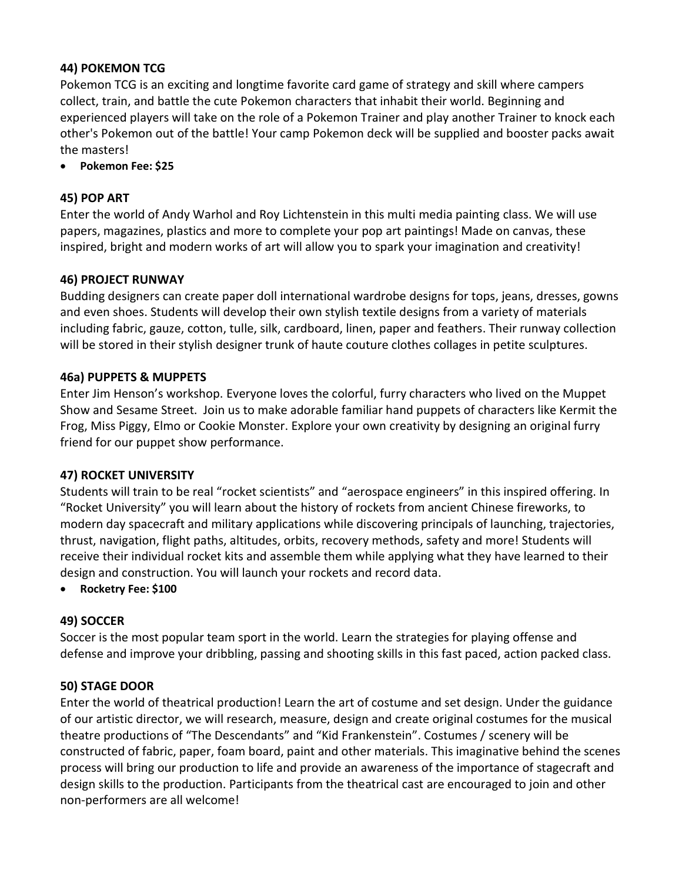# 44) POKEMON TCG

Pokemon TCG is an exciting and longtime favorite card game of strategy and skill where campers collect, train, and battle the cute Pokemon characters that inhabit their world. Beginning and experienced players will take on the role of a Pokemon Trainer and play another Trainer to knock each other's Pokemon out of the battle! Your camp Pokemon deck will be supplied and booster packs await the masters!

Pokemon Fee: \$25

#### 45) POP ART

Enter the world of Andy Warhol and Roy Lichtenstein in this multi media painting class. We will use papers, magazines, plastics and more to complete your pop art paintings! Made on canvas, these inspired, bright and modern works of art will allow you to spark your imagination and creativity!

#### 46) PROJECT RUNWAY

Budding designers can create paper doll international wardrobe designs for tops, jeans, dresses, gowns and even shoes. Students will develop their own stylish textile designs from a variety of materials including fabric, gauze, cotton, tulle, silk, cardboard, linen, paper and feathers. Their runway collection will be stored in their stylish designer trunk of haute couture clothes collages in petite sculptures.

#### 46a) PUPPETS & MUPPETS

Enter Jim Henson's workshop. Everyone loves the colorful, furry characters who lived on the Muppet Show and Sesame Street. Join us to make adorable familiar hand puppets of characters like Kermit the Frog, Miss Piggy, Elmo or Cookie Monster. Explore your own creativity by designing an original furry friend for our puppet show performance.

#### 47) ROCKET UNIVERSITY

Students will train to be real "rocket scientists" and "aerospace engineers" in this inspired offering. In "Rocket University" you will learn about the history of rockets from ancient Chinese fireworks, to modern day spacecraft and military applications while discovering principals of launching, trajectories, thrust, navigation, flight paths, altitudes, orbits, recovery methods, safety and more! Students will receive their individual rocket kits and assemble them while applying what they have learned to their design and construction. You will launch your rockets and record data.

Rocketry Fee: \$100

### 49) SOCCER

Soccer is the most popular team sport in the world. Learn the strategies for playing offense and defense and improve your dribbling, passing and shooting skills in this fast paced, action packed class.

#### 50) STAGE DOOR

Enter the world of theatrical production! Learn the art of costume and set design. Under the guidance of our artistic director, we will research, measure, design and create original costumes for the musical theatre productions of "The Descendants" and "Kid Frankenstein". Costumes / scenery will be constructed of fabric, paper, foam board, paint and other materials. This imaginative behind the scenes process will bring our production to life and provide an awareness of the importance of stagecraft and design skills to the production. Participants from the theatrical cast are encouraged to join and other non-performers are all welcome!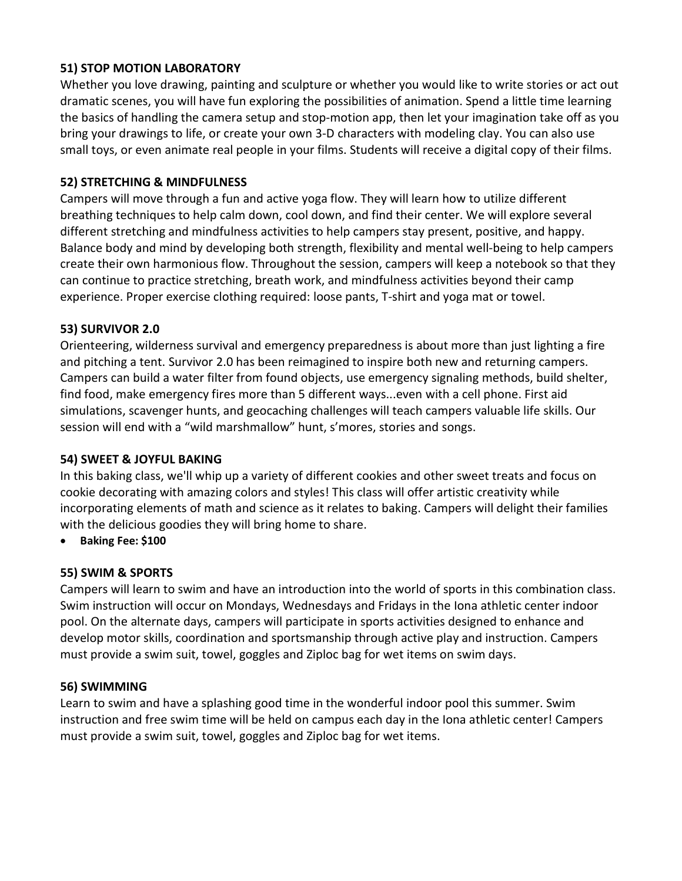## 51) STOP MOTION LABORATORY

Whether you love drawing, painting and sculpture or whether you would like to write stories or act out dramatic scenes, you will have fun exploring the possibilities of animation. Spend a little time learning the basics of handling the camera setup and stop-motion app, then let your imagination take off as you bring your drawings to life, or create your own 3-D characters with modeling clay. You can also use small toys, or even animate real people in your films. Students will receive a digital copy of their films.

## 52) STRETCHING & MINDFULNESS

Campers will move through a fun and active yoga flow. They will learn how to utilize different breathing techniques to help calm down, cool down, and find their center. We will explore several different stretching and mindfulness activities to help campers stay present, positive, and happy. Balance body and mind by developing both strength, flexibility and mental well-being to help campers create their own harmonious flow. Throughout the session, campers will keep a notebook so that they can continue to practice stretching, breath work, and mindfulness activities beyond their camp experience. Proper exercise clothing required: loose pants, T-shirt and yoga mat or towel.

# 53) SURVIVOR 2.0

Orienteering, wilderness survival and emergency preparedness is about more than just lighting a fire and pitching a tent. Survivor 2.0 has been reimagined to inspire both new and returning campers. Campers can build a water filter from found objects, use emergency signaling methods, build shelter, find food, make emergency fires more than 5 different ways...even with a cell phone. First aid simulations, scavenger hunts, and geocaching challenges will teach campers valuable life skills. Our session will end with a "wild marshmallow" hunt, s'mores, stories and songs.

### 54) SWEET & JOYFUL BAKING

In this baking class, we'll whip up a variety of different cookies and other sweet treats and focus on cookie decorating with amazing colors and styles! This class will offer artistic creativity while incorporating elements of math and science as it relates to baking. Campers will delight their families with the delicious goodies they will bring home to share.

Baking Fee: \$100

### 55) SWIM & SPORTS

Campers will learn to swim and have an introduction into the world of sports in this combination class. Swim instruction will occur on Mondays, Wednesdays and Fridays in the Iona athletic center indoor pool. On the alternate days, campers will participate in sports activities designed to enhance and develop motor skills, coordination and sportsmanship through active play and instruction. Campers must provide a swim suit, towel, goggles and Ziploc bag for wet items on swim days.

#### 56) SWIMMING

Learn to swim and have a splashing good time in the wonderful indoor pool this summer. Swim instruction and free swim time will be held on campus each day in the Iona athletic center! Campers must provide a swim suit, towel, goggles and Ziploc bag for wet items.